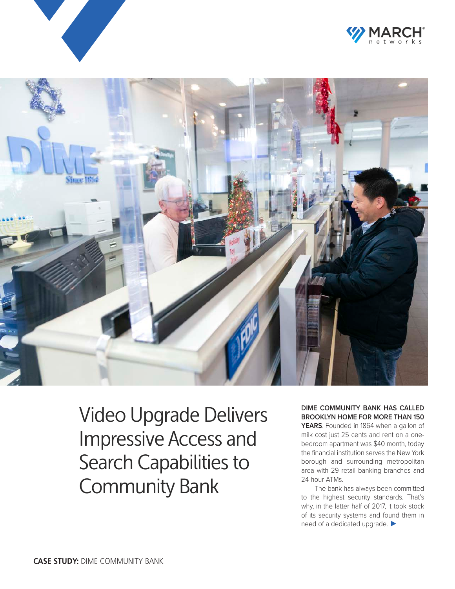





Video Upgrade Delivers Impressive Access and Search Capabilities to Community Bank

**DIME COMMUNITY BANK HAS CALLED BROOKLYN HOME FOR MORE THAN 150 YEARS**. Founded in 1864 when a gallon of milk cost just 25 cents and rent on a onebedroom apartment was \$40 month, today the financial institution serves the New York borough and surrounding metropolitan area with 29 retail banking branches and

24-hour ATMs. The bank has always been committed to the highest security standards. That's why, in the latter half of 2017, it took stock of its security systems and found them in need of a dedicated upgrade. ▶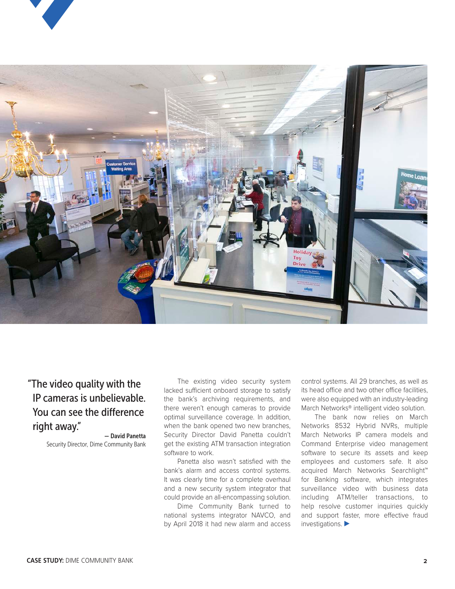



"The video quality with the IP cameras is unbelievable. You can see the difference right away."

— David Panetta Security Director, Dime Community Bank

The existing video security system lacked sufficient onboard storage to satisfy the bank's archiving requirements, and there weren't enough cameras to provide optimal surveillance coverage. In addition, when the bank opened two new branches, Security Director David Panetta couldn't get the existing ATM transaction integration software to work.

Panetta also wasn't satisfied with the bank's alarm and access control systems. It was clearly time for a complete overhaul and a new security system integrator that could provide an all-encompassing solution.

Dime Community Bank turned to national systems integrator NAVCO, and by April 2018 it had new alarm and access

control systems. All 29 branches, as well as its head office and two other office facilities, were also equipped with an industry-leading March Networks® intelligent video solution.

The bank now relies on March Networks 8532 Hybrid NVRs, multiple March Networks IP camera models and Command Enterprise video management software to secure its assets and keep employees and customers safe. It also acquired March Networks Searchlight™ for Banking software, which integrates surveillance video with business data including ATM/teller transactions, to help resolve customer inquiries quickly and support faster, more effective fraud investigations. ▶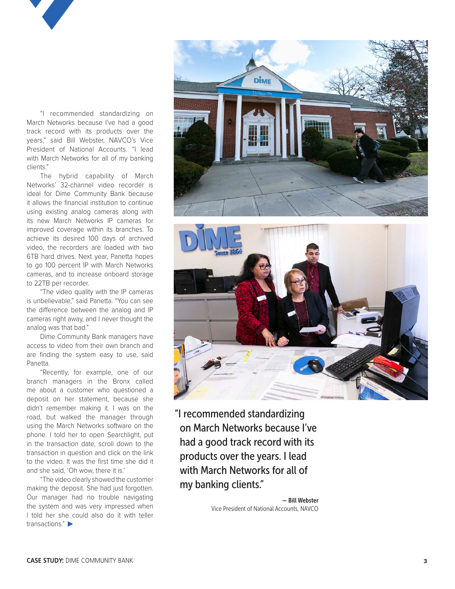

"I recommended standardizing on March Networks because I've had a good track record with its products over the years," said Bill Webster, NAVCO's Vice President of National Accounts. "I lead with March Networks for all of my banking clients."

The hybrid capability of March Networks' 32-channel video recorder is ideal for Dime Community Bank because it allows the financial institution to continue using existing analog cameras along with its new March Networks IP cameras for improved coverage within its branches. To achieve its desired 100 days of archived video, the recorders are loaded with two 6TB hard drives. Next year, Panetta hopes to go 100 percent IP with March Networks cameras, and to increase onboard storage to 22TB per recorder.

"The video quality with the IP cameras is unbelievable," said Panetta. "You can see the difference between the analog and IP cameras right away, and I never thought the analog was that bad."

Dime Community Bank managers have access to video from their own branch and are finding the system easy to use, said Panetta.

"Recently, for example, one of our branch managers in the Bronx called me about a customer who questioned a deposit on her statement, because she didn't remember making it. I was on the road, but walked the manager through using the March Networks software on the phone. I told her to open Searchlight, put in the transaction date, scroll down to the transaction in question and click on the link to the video. It was the first time she did it and she said, 'Oh wow, there it is.'

"The video clearly showed the customer making the deposit. She had just forgotten. Our manager had no trouble navigating the system and was very impressed when I told her she could also do it with teller transactions." ▶





"I recommended standardizing on March Networks because I've had a good track record with its products over the years. I lead with March Networks for all of my banking clients."

> — Bill Webster Vice President of National Accounts, NAVCO